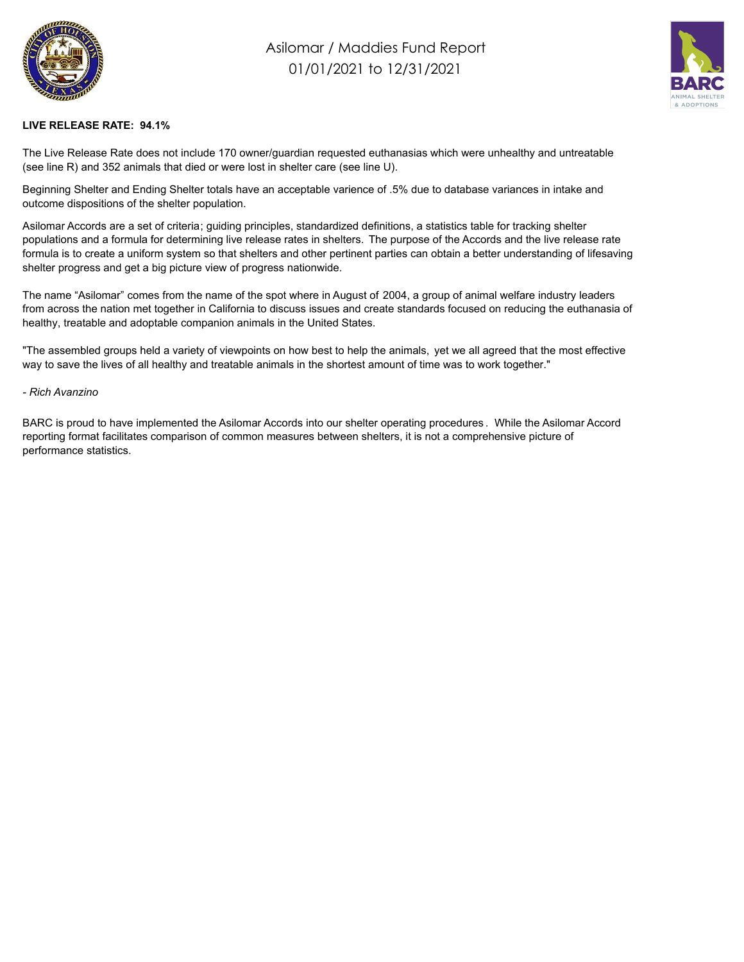

## Asilomar / Maddies Fund Report 01/01/2021 to 12/31/2021



## **LIVE RELEASE RATE: 94.1%**

The Live Release Rate does not include 170 owner/guardian requested euthanasias which were unhealthy and untreatable (see line R) and 352 animals that died or were lost in shelter care (see line U).

Beginning Shelter and Ending Shelter totals have an acceptable varience of .5% due to database variances in intake and outcome dispositions of the shelter population.

Asilomar Accords are a set of criteria; guiding principles, standardized definitions, a statistics table for tracking shelter populations and a formula for determining live release rates in shelters. The purpose of the Accords and the live release rate formula is to create a uniform system so that shelters and other pertinent parties can obtain a better understanding of lifesaving shelter progress and get a big picture view of progress nationwide.

The name "Asilomar" comes from the name of the spot where in August of 2004, a group of animal welfare industry leaders from across the nation met together in California to discuss issues and create standards focused on reducing the euthanasia of healthy, treatable and adoptable companion animals in the United States.

"The assembled groups held a variety of viewpoints on how best to help the animals, yet we all agreed that the most effective way to save the lives of all healthy and treatable animals in the shortest amount of time was to work together."

## *- Rich Avanzino*

BARC is proud to have implemented the Asilomar Accords into our shelter operating procedures . While the Asilomar Accord reporting format facilitates comparison of common measures between shelters, it is not a comprehensive picture of performance statistics.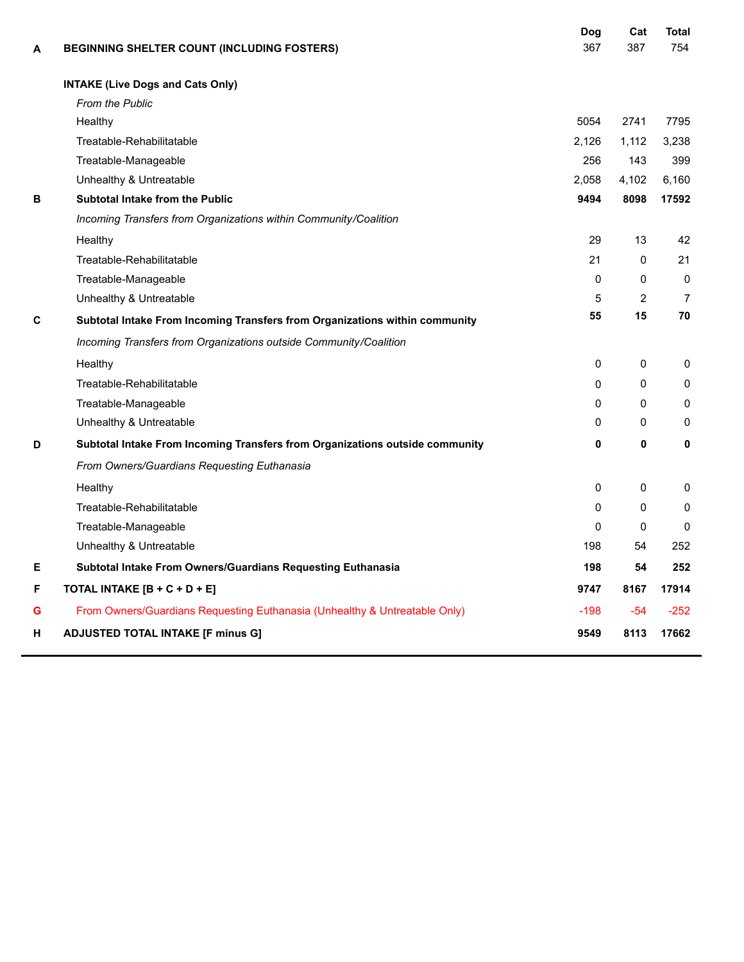| A | BEGINNING SHELTER COUNT (INCLUDING FOSTERS)                                  | Dog<br>367   | Cat<br>387     | <b>Total</b><br>754 |
|---|------------------------------------------------------------------------------|--------------|----------------|---------------------|
|   | <b>INTAKE (Live Dogs and Cats Only)</b>                                      |              |                |                     |
|   | <b>From the Public</b>                                                       |              |                |                     |
|   | Healthy                                                                      | 5054         | 2741           | 7795                |
|   | Treatable-Rehabilitatable                                                    | 2,126        | 1,112          | 3,238               |
|   | Treatable-Manageable                                                         | 256          | 143            | 399                 |
|   | Unhealthy & Untreatable                                                      | 2,058        | 4,102          | 6,160               |
| В | <b>Subtotal Intake from the Public</b>                                       | 9494         | 8098           | 17592               |
|   | Incoming Transfers from Organizations within Community/Coalition             |              |                |                     |
|   | Healthy                                                                      | 29           | 13             | 42                  |
|   | Treatable-Rehabilitatable                                                    | 21           | $\mathbf 0$    | 21                  |
|   | Treatable-Manageable                                                         | $\mathbf{0}$ | 0              | $\mathbf{0}$        |
|   | Unhealthy & Untreatable                                                      | 5            | $\overline{2}$ | $\overline{7}$      |
| C | Subtotal Intake From Incoming Transfers from Organizations within community  | 55           | 15             | 70                  |
|   | Incoming Transfers from Organizations outside Community/Coalition            |              |                |                     |
|   | Healthy                                                                      | $\mathbf{0}$ | 0              | $\mathbf{0}$        |
|   | Treatable-Rehabilitatable                                                    | $\Omega$     | $\Omega$       | $\mathbf{0}$        |
|   | Treatable-Manageable                                                         | $\Omega$     | $\mathbf{0}$   | $\mathbf{0}$        |
|   | Unhealthy & Untreatable                                                      | 0            | 0              | 0                   |
| D | Subtotal Intake From Incoming Transfers from Organizations outside community | 0            | 0              | 0                   |
|   | From Owners/Guardians Requesting Euthanasia                                  |              |                |                     |
|   | Healthy                                                                      | 0            | 0              | 0                   |
|   | Treatable-Rehabilitatable                                                    | $\Omega$     | $\Omega$       | 0                   |
|   | Treatable-Manageable                                                         | $\Omega$     | 0              | $\Omega$            |
|   | Unhealthy & Untreatable                                                      | 198          | 54             | 252                 |
| Е | Subtotal Intake From Owners/Guardians Requesting Euthanasia                  | 198          | 54             | 252                 |
| F | TOTAL INTAKE [B + C + D + E]                                                 | 9747         | 8167           | 17914               |
| G | From Owners/Guardians Requesting Euthanasia (Unhealthy & Untreatable Only)   | $-198$       | $-54$          | $-252$              |
| н | <b>ADJUSTED TOTAL INTAKE [F minus G]</b>                                     | 9549         | 8113           | 17662               |